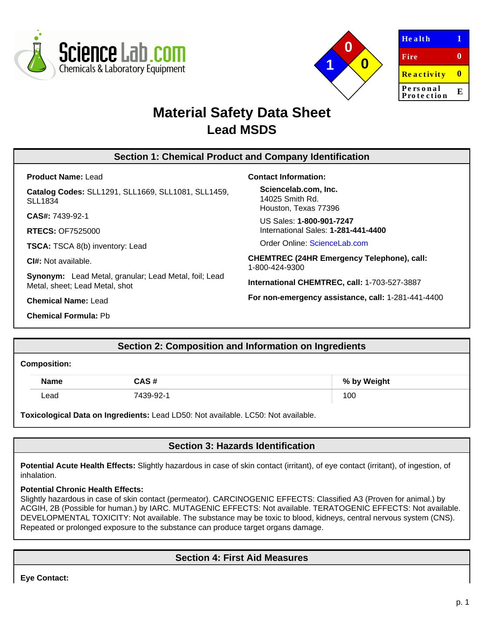



| <b>Health</b>          | π |
|------------------------|---|
| Fire                   | 0 |
| <b>Reactivity</b>      | Ш |
| Personal<br>Protection | E |
|                        |   |

# **Material Safety Data Sheet Lead MSDS**

# **Section 1: Chemical Product and Company Identification**

**Product Name:** Lead

**Catalog Codes:** SLL1291, SLL1669, SLL1081, SLL1459, SLL1834

**CAS#:** 7439-92-1

**RTECS:** OF7525000

**TSCA:** TSCA 8(b) inventory: Lead

**CI#:** Not available.

**Synonym:** Lead Metal, granular; Lead Metal, foil; Lead Metal, sheet; Lead Metal, shot

**Chemical Name:** Lead

**Chemical Formula:** Pb

**Contact Information:**

**Sciencelab.com, Inc.** 14025 Smith Rd. Houston, Texas 77396

US Sales: **1-800-901-7247** International Sales: **1-281-441-4400**

Order Online: [ScienceLab.com](http://www.sciencelab.com/)

**CHEMTREC (24HR Emergency Telephone), call:** 1-800-424-9300

**International CHEMTREC, call:** 1-703-527-3887

**For non-emergency assistance, call:** 1-281-441-4400

# **Section 2: Composition and Information on Ingredients**

#### **Composition:**

| <b>Name</b> | CAS #     | % by Weight |
|-------------|-----------|-------------|
| ∟ead        | 7439-92-1 | 100         |

**Toxicological Data on Ingredients:** Lead LD50: Not available. LC50: Not available.

# **Section 3: Hazards Identification**

Potential Acute Health Effects: Slightly hazardous in case of skin contact (irritant), of eye contact (irritant), of ingestion, of inhalation.

### **Potential Chronic Health Effects:**

Slightly hazardous in case of skin contact (permeator). CARCINOGENIC EFFECTS: Classified A3 (Proven for animal.) by ACGIH, 2B (Possible for human.) by IARC. MUTAGENIC EFFECTS: Not available. TERATOGENIC EFFECTS: Not available. DEVELOPMENTAL TOXICITY: Not available. The substance may be toxic to blood, kidneys, central nervous system (CNS). Repeated or prolonged exposure to the substance can produce target organs damage.

# **Section 4: First Aid Measures**

**Eye Contact:**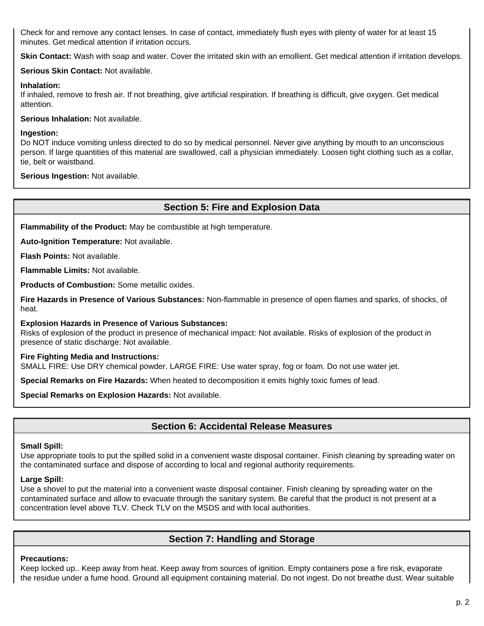Check for and remove any contact lenses. In case of contact, immediately flush eyes with plenty of water for at least 15 minutes. Get medical attention if irritation occurs.

Skin Contact: Wash with soap and water. Cover the irritated skin with an emollient. Get medical attention if irritation develops.

### **Serious Skin Contact:** Not available.

#### **Inhalation:**

If inhaled, remove to fresh air. If not breathing, give artificial respiration. If breathing is difficult, give oxygen. Get medical attention.

**Serious Inhalation:** Not available.

#### **Ingestion:**

Do NOT induce vomiting unless directed to do so by medical personnel. Never give anything by mouth to an unconscious person. If large quantities of this material are swallowed, call a physician immediately. Loosen tight clothing such as a collar, tie, belt or waistband.

**Serious Ingestion:** Not available.

### **Section 5: Fire and Explosion Data**

**Flammability of the Product:** May be combustible at high temperature.

**Auto-Ignition Temperature:** Not available.

**Flash Points:** Not available.

**Flammable Limits:** Not available.

**Products of Combustion:** Some metallic oxides.

**Fire Hazards in Presence of Various Substances:** Non-flammable in presence of open flames and sparks, of shocks, of heat.

**Explosion Hazards in Presence of Various Substances:**

Risks of explosion of the product in presence of mechanical impact: Not available. Risks of explosion of the product in presence of static discharge: Not available.

### **Fire Fighting Media and Instructions:**

SMALL FIRE: Use DRY chemical powder. LARGE FIRE: Use water spray, fog or foam. Do not use water jet.

**Special Remarks on Fire Hazards:** When heated to decomposition it emits highly toxic fumes of lead.

**Special Remarks on Explosion Hazards:** Not available.

# **Section 6: Accidental Release Measures**

### **Small Spill:**

Use appropriate tools to put the spilled solid in a convenient waste disposal container. Finish cleaning by spreading water on the contaminated surface and dispose of according to local and regional authority requirements.

### **Large Spill:**

Use a shovel to put the material into a convenient waste disposal container. Finish cleaning by spreading water on the contaminated surface and allow to evacuate through the sanitary system. Be careful that the product is not present at a concentration level above TLV. Check TLV on the MSDS and with local authorities.

# **Section 7: Handling and Storage**

#### **Precautions:**

Keep locked up.. Keep away from heat. Keep away from sources of ignition. Empty containers pose a fire risk, evaporate the residue under a fume hood. Ground all equipment containing material. Do not ingest. Do not breathe dust. Wear suitable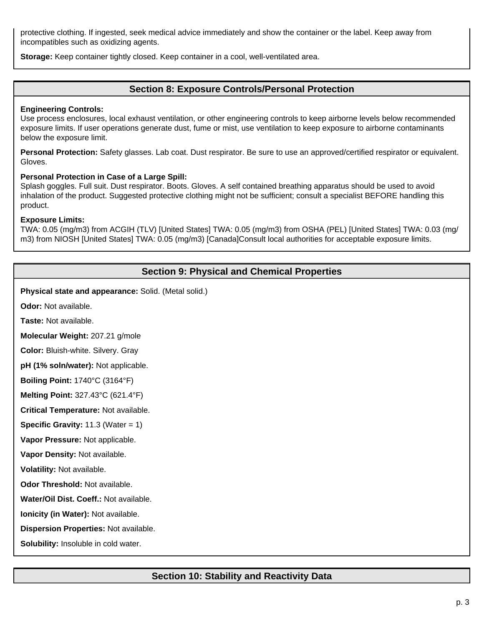protective clothing. If ingested, seek medical advice immediately and show the container or the label. Keep away from incompatibles such as oxidizing agents.

**Storage:** Keep container tightly closed. Keep container in a cool, well-ventilated area.

## **Section 8: Exposure Controls/Personal Protection**

#### **Engineering Controls:**

Use process enclosures, local exhaust ventilation, or other engineering controls to keep airborne levels below recommended exposure limits. If user operations generate dust, fume or mist, use ventilation to keep exposure to airborne contaminants below the exposure limit.

**Personal Protection:** Safety glasses. Lab coat. Dust respirator. Be sure to use an approved/certified respirator or equivalent. Gloves.

#### **Personal Protection in Case of a Large Spill:**

Splash goggles. Full suit. Dust respirator. Boots. Gloves. A self contained breathing apparatus should be used to avoid inhalation of the product. Suggested protective clothing might not be sufficient; consult a specialist BEFORE handling this product.

#### **Exposure Limits:**

TWA: 0.05 (mg/m3) from ACGIH (TLV) [United States] TWA: 0.05 (mg/m3) from OSHA (PEL) [United States] TWA: 0.03 (mg/ m3) from NIOSH [United States] TWA: 0.05 (mg/m3) [Canada]Consult local authorities for acceptable exposure limits.

# **Section 9: Physical and Chemical Properties**

**Physical state and appearance:** Solid. (Metal solid.)

**Odor:** Not available.

**Taste:** Not available.

**Molecular Weight:** 207.21 g/mole

**Color:** Bluish-white. Silvery. Gray

**pH (1% soln/water):** Not applicable.

**Boiling Point:** 1740°C (3164°F)

**Melting Point:** 327.43°C (621.4°F)

**Critical Temperature:** Not available.

**Specific Gravity:** 11.3 (Water = 1)

**Vapor Pressure:** Not applicable.

**Vapor Density:** Not available.

**Volatility:** Not available.

**Odor Threshold:** Not available.

**Water/Oil Dist. Coeff.:** Not available.

**Ionicity (in Water):** Not available.

**Dispersion Properties:** Not available.

**Solubility:** Insoluble in cold water.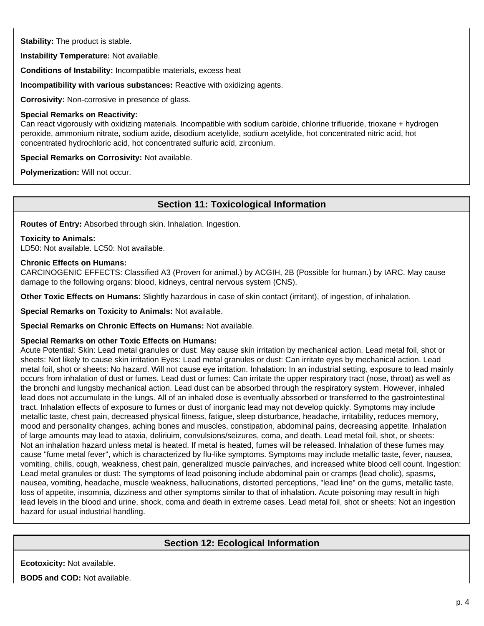**Stability:** The product is stable.

**Instability Temperature:** Not available.

**Conditions of Instability:** Incompatible materials, excess heat

**Incompatibility with various substances:** Reactive with oxidizing agents.

**Corrosivity:** Non-corrosive in presence of glass.

#### **Special Remarks on Reactivity:**

Can react vigorously with oxidizing materials. Incompatible with sodium carbide, chlorine trifluoride, trioxane + hydrogen peroxide, ammonium nitrate, sodium azide, disodium acetylide, sodium acetylide, hot concentrated nitric acid, hot concentrated hydrochloric acid, hot concentrated sulfuric acid, zirconium.

**Special Remarks on Corrosivity:** Not available.

**Polymerization:** Will not occur.

# **Section 11: Toxicological Information**

**Routes of Entry:** Absorbed through skin. Inhalation. Ingestion.

#### **Toxicity to Animals:**

LD50: Not available. LC50: Not available.

#### **Chronic Effects on Humans:**

CARCINOGENIC EFFECTS: Classified A3 (Proven for animal.) by ACGIH, 2B (Possible for human.) by IARC. May cause damage to the following organs: blood, kidneys, central nervous system (CNS).

**Other Toxic Effects on Humans:** Slightly hazardous in case of skin contact (irritant), of ingestion, of inhalation.

**Special Remarks on Toxicity to Animals:** Not available.

**Special Remarks on Chronic Effects on Humans:** Not available.

### **Special Remarks on other Toxic Effects on Humans:**

Acute Potential: Skin: Lead metal granules or dust: May cause skin irritation by mechanical action. Lead metal foil, shot or sheets: Not likely to cause skin irritation Eyes: Lead metal granules or dust: Can irritate eyes by mechanical action. Lead metal foil, shot or sheets: No hazard. Will not cause eye irritation. Inhalation: In an industrial setting, exposure to lead mainly occurs from inhalation of dust or fumes. Lead dust or fumes: Can irritate the upper respiratory tract (nose, throat) as well as the bronchi and lungsby mechanical action. Lead dust can be absorbed through the respiratory system. However, inhaled lead does not accumulate in the lungs. All of an inhaled dose is eventually abssorbed or transferred to the gastrointestinal tract. Inhalation effects of exposure to fumes or dust of inorganic lead may not develop quickly. Symptoms may include metallic taste, chest pain, decreased physical fitness, fatigue, sleep disturbance, headache, irritability, reduces memory, mood and personality changes, aching bones and muscles, constipation, abdominal pains, decreasing appetite. Inhalation of large amounts may lead to ataxia, deliriuim, convulsions/seizures, coma, and death. Lead metal foil, shot, or sheets: Not an inhalation hazard unless metal is heated. If metal is heated, fumes will be released. Inhalation of these fumes may cause "fume metal fever", which is characterized by flu-like symptoms. Symptoms may include metallic taste, fever, nausea, vomiting, chills, cough, weakness, chest pain, generalized muscle pain/aches, and increased white blood cell count. Ingestion: Lead metal granules or dust: The symptoms of lead poisoning include abdominal pain or cramps (lead cholic), spasms, nausea, vomiting, headache, muscle weakness, hallucinations, distorted perceptions, "lead line" on the gums, metallic taste, loss of appetite, insomnia, dizziness and other symptoms similar to that of inhalation. Acute poisoning may result in high lead levels in the blood and urine, shock, coma and death in extreme cases. Lead metal foil, shot or sheets: Not an ingestion hazard for usual industrial handling.

# **Section 12: Ecological Information**

**Ecotoxicity:** Not available.

**BOD5 and COD:** Not available.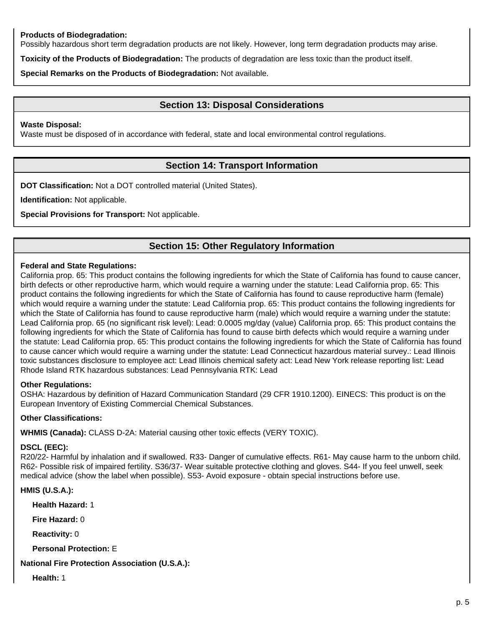### **Products of Biodegradation:**

Possibly hazardous short term degradation products are not likely. However, long term degradation products may arise.

**Toxicity of the Products of Biodegradation:** The products of degradation are less toxic than the product itself.

**Special Remarks on the Products of Biodegradation:** Not available.

## **Section 13: Disposal Considerations**

#### **Waste Disposal:**

Waste must be disposed of in accordance with federal, state and local environmental control regulations.

# **Section 14: Transport Information**

**DOT Classification:** Not a DOT controlled material (United States).

**Identification:** Not applicable.

**Special Provisions for Transport:** Not applicable.

# **Section 15: Other Regulatory Information**

#### **Federal and State Regulations:**

California prop. 65: This product contains the following ingredients for which the State of California has found to cause cancer, birth defects or other reproductive harm, which would require a warning under the statute: Lead California prop. 65: This product contains the following ingredients for which the State of California has found to cause reproductive harm (female) which would require a warning under the statute: Lead California prop. 65: This product contains the following ingredients for which the State of California has found to cause reproductive harm (male) which would require a warning under the statute: Lead California prop. 65 (no significant risk level): Lead: 0.0005 mg/day (value) California prop. 65: This product contains the following ingredients for which the State of California has found to cause birth defects which would require a warning under the statute: Lead California prop. 65: This product contains the following ingredients for which the State of California has found to cause cancer which would require a warning under the statute: Lead Connecticut hazardous material survey.: Lead Illinois toxic substances disclosure to employee act: Lead Illinois chemical safety act: Lead New York release reporting list: Lead Rhode Island RTK hazardous substances: Lead Pennsylvania RTK: Lead

### **Other Regulations:**

OSHA: Hazardous by definition of Hazard Communication Standard (29 CFR 1910.1200). EINECS: This product is on the European Inventory of Existing Commercial Chemical Substances.

### **Other Classifications:**

**WHMIS (Canada):** CLASS D-2A: Material causing other toxic effects (VERY TOXIC).

### **DSCL (EEC):**

R20/22- Harmful by inhalation and if swallowed. R33- Danger of cumulative effects. R61- May cause harm to the unborn child. R62- Possible risk of impaired fertility. S36/37- Wear suitable protective clothing and gloves. S44- If you feel unwell, seek medical advice (show the label when possible). S53- Avoid exposure - obtain special instructions before use.

```
HMIS (U.S.A.):
```
**Health Hazard:** 1

**Fire Hazard:** 0

**Reactivity:** 0

**Personal Protection:** E

### **National Fire Protection Association (U.S.A.):**

**Health:** 1